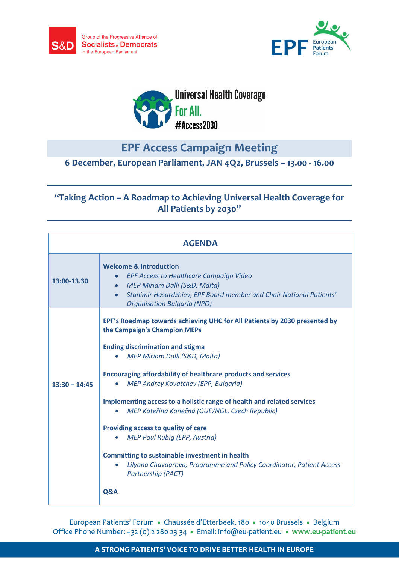





## **EPF Access Campaign Meeting**

**6 December, European Parliament, JAN 4Q2, Brussels – 13.00 - 16.00**

## **"Taking Action – A Roadmap to Achieving Universal Health Coverage for All Patients by 2030"**

| <b>AGENDA</b>   |                                                                                                                                                                                                                                                                                                                                                                                                                                                                                                                                                                                                                                                                                |
|-----------------|--------------------------------------------------------------------------------------------------------------------------------------------------------------------------------------------------------------------------------------------------------------------------------------------------------------------------------------------------------------------------------------------------------------------------------------------------------------------------------------------------------------------------------------------------------------------------------------------------------------------------------------------------------------------------------|
| 13:00-13.30     | <b>Welcome &amp; Introduction</b><br><b>EPF Access to Healthcare Campaign Video</b><br>MEP Miriam Dalli (S&D, Malta)<br>Stanimir Hasardzhiev, EPF Board member and Chair National Patients'<br><b>Organisation Bulgaria (NPO)</b>                                                                                                                                                                                                                                                                                                                                                                                                                                              |
| $13:30 - 14:45$ | EPF's Roadmap towards achieving UHC for All Patients by 2030 presented by<br>the Campaign's Champion MEPs<br><b>Ending discrimination and stigma</b><br>MEP Miriam Dalli (S&D, Malta)<br><b>Encouraging affordability of healthcare products and services</b><br>MEP Andrey Kovatchev (EPP, Bulgaria)<br>Implementing access to a holistic range of health and related services<br>MEP Kateřina Konečná (GUE/NGL, Czech Republic)<br>Providing access to quality of care<br>MEP Paul Rübig (EPP, Austria)<br><b>Committing to sustainable investment in health</b><br>Lilyana Chavdarova, Programme and Policy Coordinator, Patient Access<br><b>Partnership (PACT)</b><br>Q&A |

European Patients' Forum · Chaussée d'Etterbeek, 180 · 1040 Brussels · Belgium Office Phone Number: +32 (0) 2 280 23 34 · Email: info@eu-patient.eu · www.eu-patient.eu